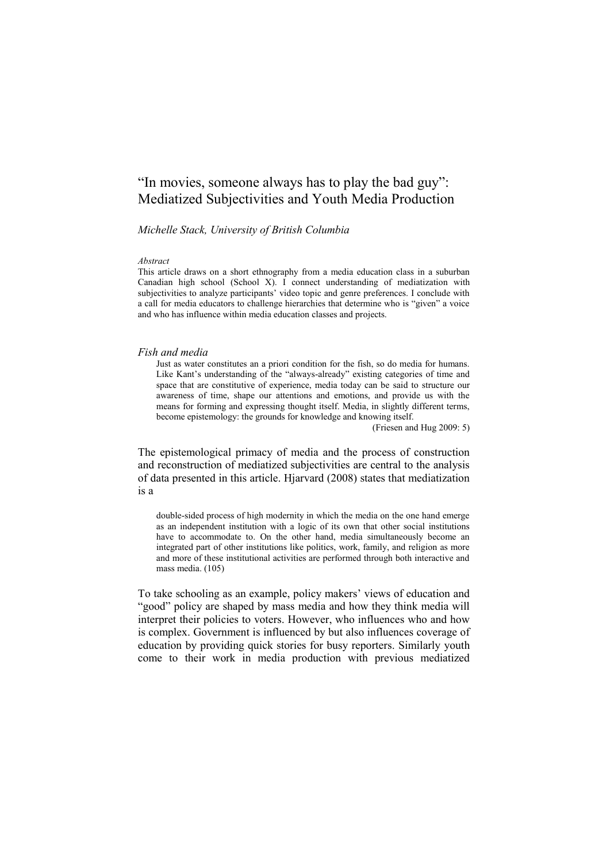# "In movies, someone always has to play the bad guy": Mediatized Subjectivities and Youth Media Production

# *Michelle Stack, University of British Columbia*

#### *Abstract*

This article draws on a short ethnography from a media education class in a suburban Canadian high school (School X). I connect understanding of mediatization with subjectivities to analyze participants" video topic and genre preferences. I conclude with a call for media educators to challenge hierarchies that determine who is "given" a voice and who has influence within media education classes and projects.

#### *Fish and media*

Just as water constitutes an a priori condition for the fish, so do media for humans. Like Kant's understanding of the "always-already" existing categories of time and space that are constitutive of experience, media today can be said to structure our awareness of time, shape our attentions and emotions, and provide us with the means for forming and expressing thought itself. Media, in slightly different terms, become epistemology: the grounds for knowledge and knowing itself.

(Friesen and Hug 2009: 5)

The epistemological primacy of media and the process of construction and reconstruction of mediatized subjectivities are central to the analysis of data presented in this article. Hjarvard (2008) states that mediatization is a

double-sided process of high modernity in which the media on the one hand emerge as an independent institution with a logic of its own that other social institutions have to accommodate to. On the other hand, media simultaneously become an integrated part of other institutions like politics, work, family, and religion as more and more of these institutional activities are performed through both interactive and mass media. (105)

To take schooling as an example, policy makers' views of education and "good" policy are shaped by mass media and how they think media will interpret their policies to voters. However, who influences who and how is complex. Government is influenced by but also influences coverage of education by providing quick stories for busy reporters. Similarly youth come to their work in media production with previous mediatized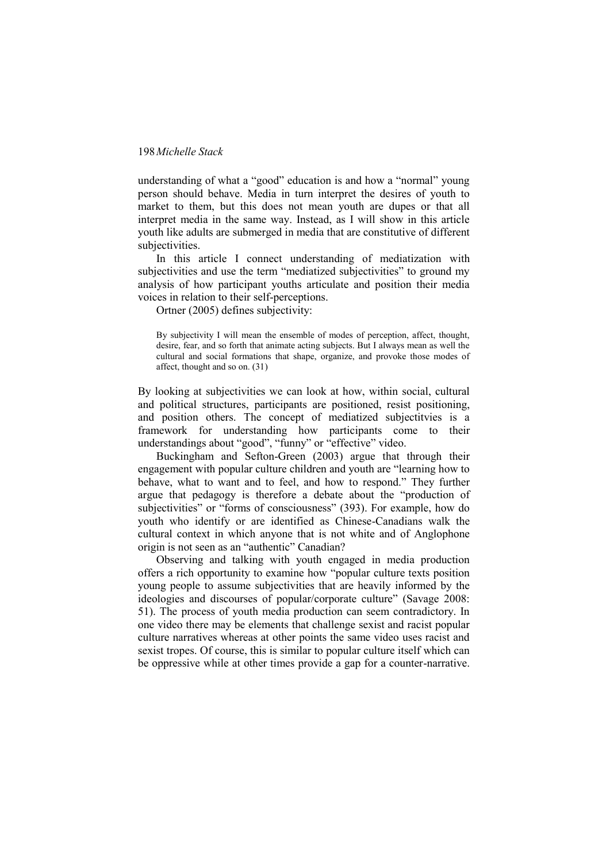understanding of what a "good" education is and how a "normal" young person should behave. Media in turn interpret the desires of youth to market to them, but this does not mean youth are dupes or that all interpret media in the same way. Instead, as I will show in this article youth like adults are submerged in media that are constitutive of different subjectivities.

In this article I connect understanding of mediatization with subjectivities and use the term "mediatized subjectivities" to ground my analysis of how participant youths articulate and position their media voices in relation to their self-perceptions.

Ortner (2005) defines subjectivity:

By subjectivity I will mean the ensemble of modes of perception, affect, thought, desire, fear, and so forth that animate acting subjects. But I always mean as well the cultural and social formations that shape, organize, and provoke those modes of affect, thought and so on. (31)

By looking at subjectivities we can look at how, within social, cultural and political structures, participants are positioned, resist positioning, and position others. The concept of mediatized subjectitvies is a framework for understanding how participants come to their understandings about "good", "funny" or "effective" video.

Buckingham and Sefton-Green (2003) argue that through their engagement with popular culture children and youth are "learning how to behave, what to want and to feel, and how to respond." They further argue that pedagogy is therefore a debate about the "production of subjectivities" or "forms of consciousness" (393). For example, how do youth who identify or are identified as Chinese-Canadians walk the cultural context in which anyone that is not white and of Anglophone origin is not seen as an "authentic" Canadian?

Observing and talking with youth engaged in media production offers a rich opportunity to examine how "popular culture texts position young people to assume subjectivities that are heavily informed by the ideologies and discourses of popular/corporate culture" (Savage 2008: 51). The process of youth media production can seem contradictory. In one video there may be elements that challenge sexist and racist popular culture narratives whereas at other points the same video uses racist and sexist tropes. Of course, this is similar to popular culture itself which can be oppressive while at other times provide a gap for a counter-narrative.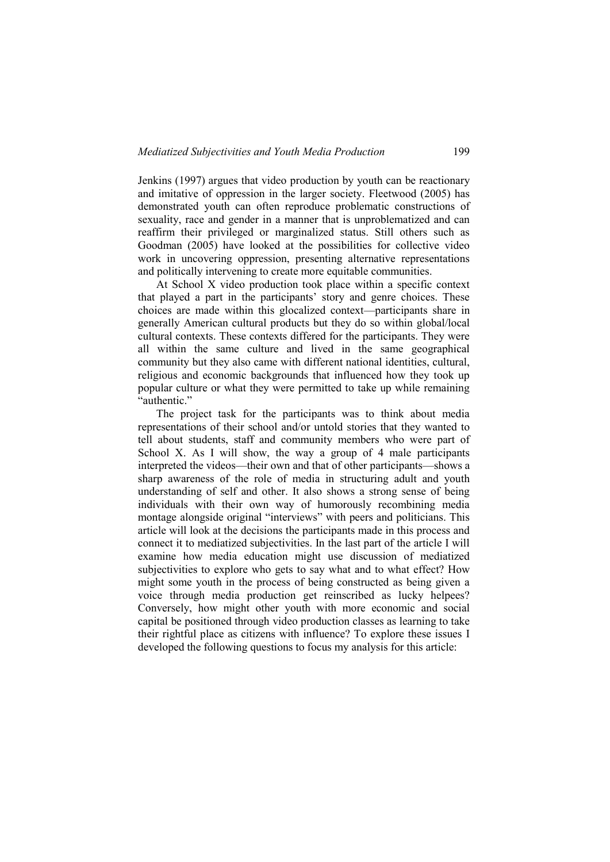Jenkins (1997) argues that video production by youth can be reactionary and imitative of oppression in the larger society. Fleetwood (2005) has demonstrated youth can often reproduce problematic constructions of sexuality, race and gender in a manner that is unproblematized and can reaffirm their privileged or marginalized status. Still others such as Goodman (2005) have looked at the possibilities for collective video work in uncovering oppression, presenting alternative representations and politically intervening to create more equitable communities.

At School X video production took place within a specific context that played a part in the participants" story and genre choices. These choices are made within this glocalized context—participants share in generally American cultural products but they do so within global/local cultural contexts. These contexts differed for the participants. They were all within the same culture and lived in the same geographical community but they also came with different national identities, cultural, religious and economic backgrounds that influenced how they took up popular culture or what they were permitted to take up while remaining "authentic."

The project task for the participants was to think about media representations of their school and/or untold stories that they wanted to tell about students, staff and community members who were part of School X. As I will show, the way a group of 4 male participants interpreted the videos—their own and that of other participants—shows a sharp awareness of the role of media in structuring adult and youth understanding of self and other. It also shows a strong sense of being individuals with their own way of humorously recombining media montage alongside original "interviews" with peers and politicians. This article will look at the decisions the participants made in this process and connect it to mediatized subjectivities. In the last part of the article I will examine how media education might use discussion of mediatized subjectivities to explore who gets to say what and to what effect? How might some youth in the process of being constructed as being given a voice through media production get reinscribed as lucky helpees? Conversely, how might other youth with more economic and social capital be positioned through video production classes as learning to take their rightful place as citizens with influence? To explore these issues I developed the following questions to focus my analysis for this article: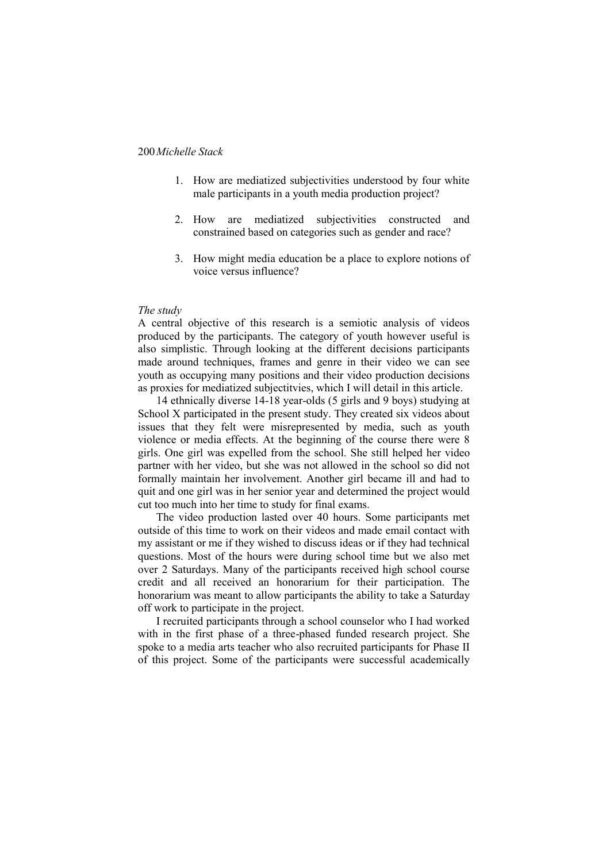- 1. How are mediatized subjectivities understood by four white male participants in a youth media production project?
- 2. How are mediatized subjectivities constructed and constrained based on categories such as gender and race?
- 3. How might media education be a place to explore notions of voice versus influence?

#### *The study*

A central objective of this research is a semiotic analysis of videos produced by the participants. The category of youth however useful is also simplistic. Through looking at the different decisions participants made around techniques, frames and genre in their video we can see youth as occupying many positions and their video production decisions as proxies for mediatized subjectitvies, which I will detail in this article.

14 ethnically diverse 14-18 year-olds (5 girls and 9 boys) studying at School X participated in the present study. They created six videos about issues that they felt were misrepresented by media, such as youth violence or media effects. At the beginning of the course there were 8 girls. One girl was expelled from the school. She still helped her video partner with her video, but she was not allowed in the school so did not formally maintain her involvement. Another girl became ill and had to quit and one girl was in her senior year and determined the project would cut too much into her time to study for final exams.

The video production lasted over 40 hours. Some participants met outside of this time to work on their videos and made email contact with my assistant or me if they wished to discuss ideas or if they had technical questions. Most of the hours were during school time but we also met over 2 Saturdays. Many of the participants received high school course credit and all received an honorarium for their participation. The honorarium was meant to allow participants the ability to take a Saturday off work to participate in the project.

I recruited participants through a school counselor who I had worked with in the first phase of a three-phased funded research project. She spoke to a media arts teacher who also recruited participants for Phase II of this project. Some of the participants were successful academically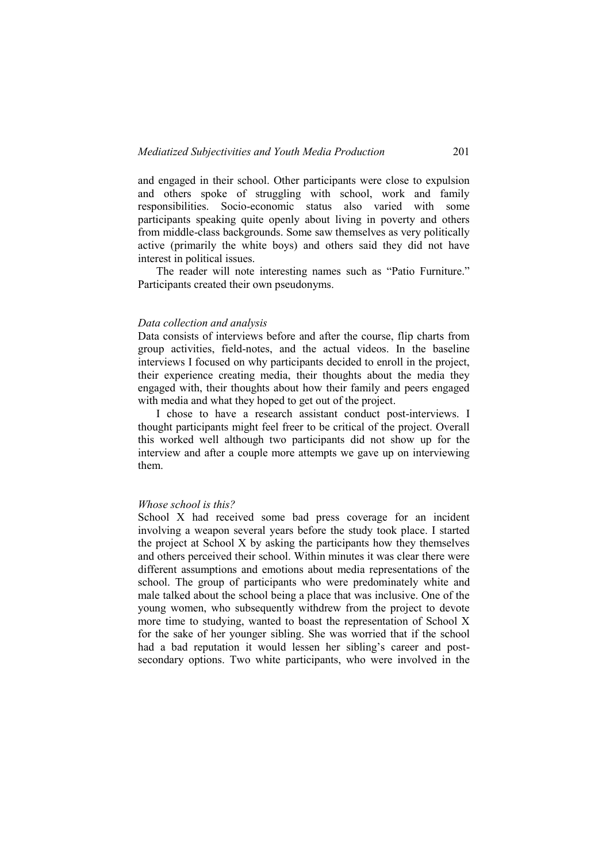and engaged in their school. Other participants were close to expulsion and others spoke of struggling with school, work and family responsibilities. Socio-economic status also varied with some participants speaking quite openly about living in poverty and others from middle-class backgrounds. Some saw themselves as very politically active (primarily the white boys) and others said they did not have interest in political issues.

The reader will note interesting names such as "Patio Furniture." Participants created their own pseudonyms.

#### *Data collection and analysis*

Data consists of interviews before and after the course, flip charts from group activities, field-notes, and the actual videos. In the baseline interviews I focused on why participants decided to enroll in the project, their experience creating media, their thoughts about the media they engaged with, their thoughts about how their family and peers engaged with media and what they hoped to get out of the project.

I chose to have a research assistant conduct post-interviews. I thought participants might feel freer to be critical of the project. Overall this worked well although two participants did not show up for the interview and after a couple more attempts we gave up on interviewing them.

#### *Whose school is this?*

School X had received some bad press coverage for an incident involving a weapon several years before the study took place. I started the project at School X by asking the participants how they themselves and others perceived their school. Within minutes it was clear there were different assumptions and emotions about media representations of the school. The group of participants who were predominately white and male talked about the school being a place that was inclusive. One of the young women, who subsequently withdrew from the project to devote more time to studying, wanted to boast the representation of School X for the sake of her younger sibling. She was worried that if the school had a bad reputation it would lessen her sibling's career and postsecondary options. Two white participants, who were involved in the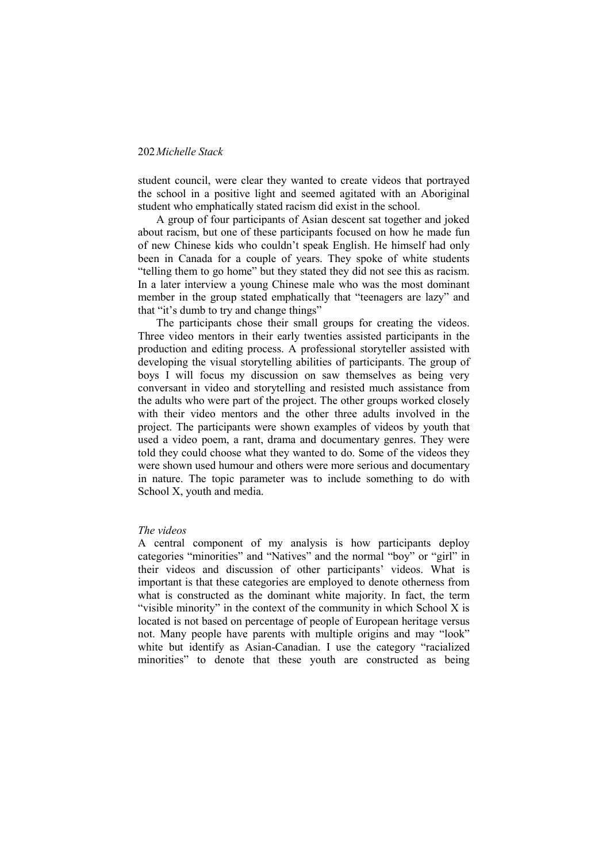student council, were clear they wanted to create videos that portrayed the school in a positive light and seemed agitated with an Aboriginal student who emphatically stated racism did exist in the school.

A group of four participants of Asian descent sat together and joked about racism, but one of these participants focused on how he made fun of new Chinese kids who couldn"t speak English. He himself had only been in Canada for a couple of years. They spoke of white students "telling them to go home" but they stated they did not see this as racism. In a later interview a young Chinese male who was the most dominant member in the group stated emphatically that "teenagers are lazy" and that "it's dumb to try and change things"

The participants chose their small groups for creating the videos. Three video mentors in their early twenties assisted participants in the production and editing process. A professional storyteller assisted with developing the visual storytelling abilities of participants. The group of boys I will focus my discussion on saw themselves as being very conversant in video and storytelling and resisted much assistance from the adults who were part of the project. The other groups worked closely with their video mentors and the other three adults involved in the project. The participants were shown examples of videos by youth that used a video poem, a rant, drama and documentary genres. They were told they could choose what they wanted to do. Some of the videos they were shown used humour and others were more serious and documentary in nature. The topic parameter was to include something to do with School X, youth and media.

#### *The videos*

A central component of my analysis is how participants deploy categories "minorities" and "Natives" and the normal "boy" or "girl" in their videos and discussion of other participants' videos. What is important is that these categories are employed to denote otherness from what is constructed as the dominant white majority. In fact, the term "visible minority" in the context of the community in which School X is located is not based on percentage of people of European heritage versus not. Many people have parents with multiple origins and may "look" white but identify as Asian-Canadian. I use the category "racialized minorities" to denote that these youth are constructed as being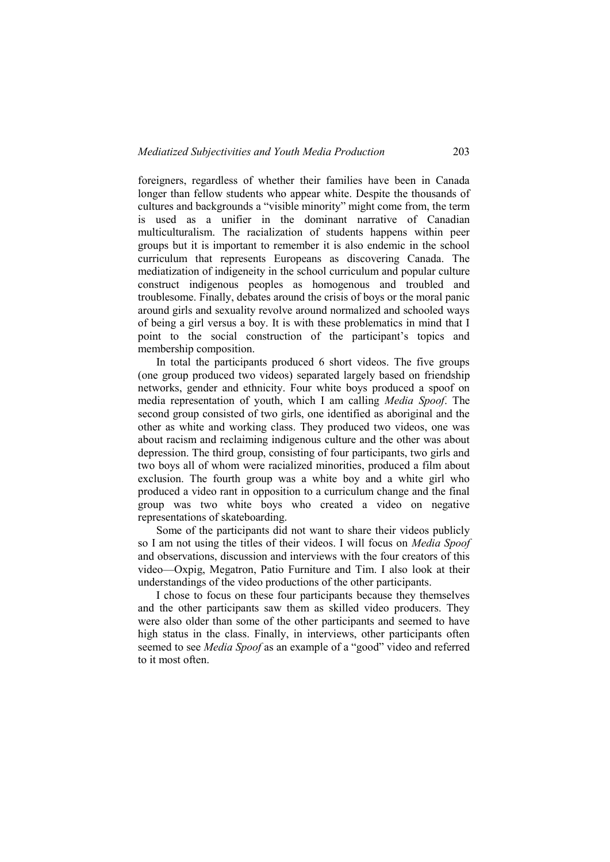foreigners, regardless of whether their families have been in Canada longer than fellow students who appear white. Despite the thousands of cultures and backgrounds a "visible minority" might come from, the term is used as a unifier in the dominant narrative of Canadian multiculturalism. The racialization of students happens within peer groups but it is important to remember it is also endemic in the school curriculum that represents Europeans as discovering Canada. The mediatization of indigeneity in the school curriculum and popular culture construct indigenous peoples as homogenous and troubled and troublesome. Finally, debates around the crisis of boys or the moral panic around girls and sexuality revolve around normalized and schooled ways of being a girl versus a boy. It is with these problematics in mind that I point to the social construction of the participant"s topics and membership composition.

In total the participants produced 6 short videos. The five groups (one group produced two videos) separated largely based on friendship networks, gender and ethnicity. Four white boys produced a spoof on media representation of youth, which I am calling *Media Spoof*. The second group consisted of two girls, one identified as aboriginal and the other as white and working class. They produced two videos, one was about racism and reclaiming indigenous culture and the other was about depression. The third group, consisting of four participants, two girls and two boys all of whom were racialized minorities, produced a film about exclusion. The fourth group was a white boy and a white girl who produced a video rant in opposition to a curriculum change and the final group was two white boys who created a video on negative representations of skateboarding.

Some of the participants did not want to share their videos publicly so I am not using the titles of their videos. I will focus on *Media Spoof* and observations, discussion and interviews with the four creators of this video—Oxpig, Megatron, Patio Furniture and Tim. I also look at their understandings of the video productions of the other participants.

I chose to focus on these four participants because they themselves and the other participants saw them as skilled video producers. They were also older than some of the other participants and seemed to have high status in the class. Finally, in interviews, other participants often seemed to see *Media Spoof* as an example of a "good" video and referred to it most often.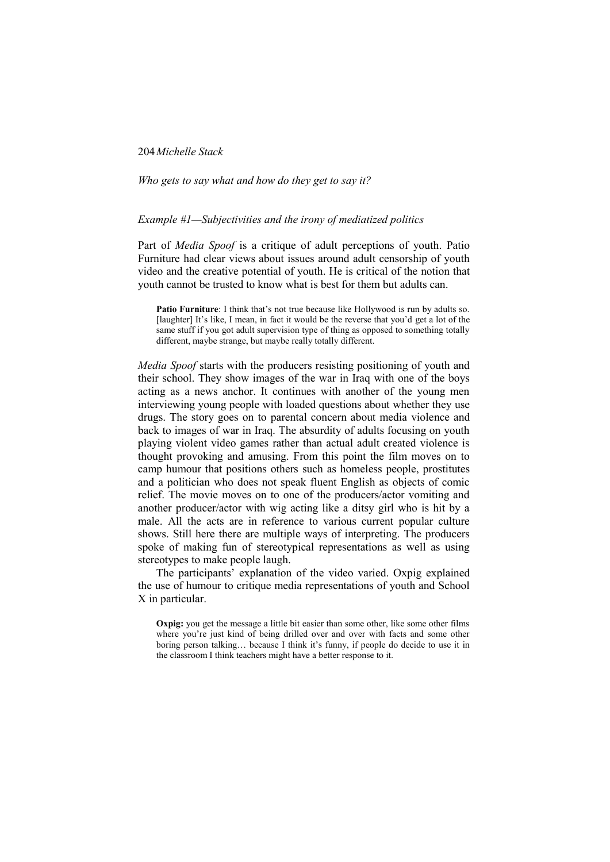#### *Who gets to say what and how do they get to say it?*

## *Example #1—Subjectivities and the irony of mediatized politics*

Part of *Media Spoof* is a critique of adult perceptions of youth. Patio Furniture had clear views about issues around adult censorship of youth video and the creative potential of youth. He is critical of the notion that youth cannot be trusted to know what is best for them but adults can.

**Patio Furniture**: I think that's not true because like Hollywood is run by adults so. [laughter] It's like, I mean, in fact it would be the reverse that you'd get a lot of the same stuff if you got adult supervision type of thing as opposed to something totally different, maybe strange, but maybe really totally different.

*Media Spoof* starts with the producers resisting positioning of youth and their school. They show images of the war in Iraq with one of the boys acting as a news anchor. It continues with another of the young men interviewing young people with loaded questions about whether they use drugs. The story goes on to parental concern about media violence and back to images of war in Iraq. The absurdity of adults focusing on youth playing violent video games rather than actual adult created violence is thought provoking and amusing. From this point the film moves on to camp humour that positions others such as homeless people, prostitutes and a politician who does not speak fluent English as objects of comic relief. The movie moves on to one of the producers/actor vomiting and another producer/actor with wig acting like a ditsy girl who is hit by a male. All the acts are in reference to various current popular culture shows. Still here there are multiple ways of interpreting. The producers spoke of making fun of stereotypical representations as well as using stereotypes to make people laugh.

The participants" explanation of the video varied. Oxpig explained the use of humour to critique media representations of youth and School X in particular.

**Oxpig:** you get the message a little bit easier than some other, like some other films where you're just kind of being drilled over and over with facts and some other boring person talking... because I think it's funny, if people do decide to use it in the classroom I think teachers might have a better response to it.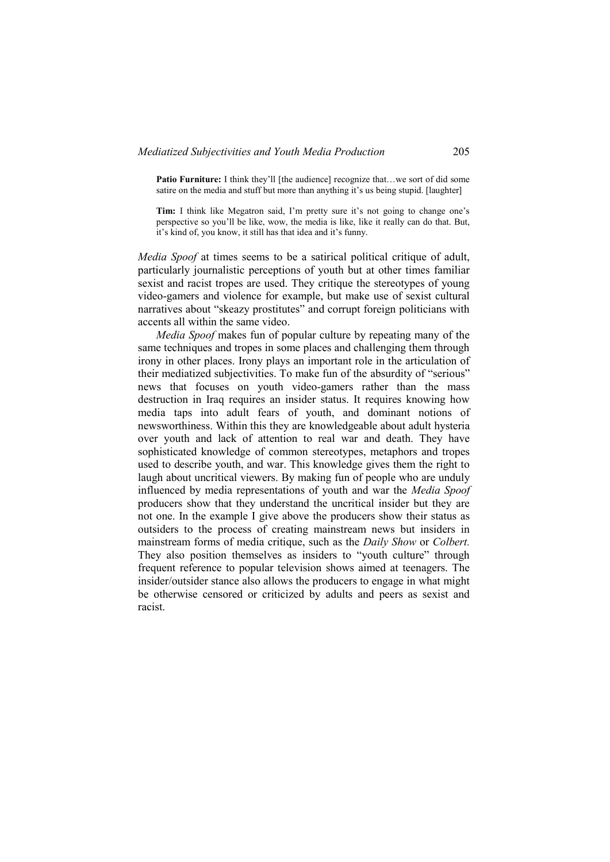**Patio Furniture:** I think they'll [the audience] recognize that...we sort of did some satire on the media and stuff but more than anything it's us being stupid. [laughter]

**Tim:** I think like Megatron said, I'm pretty sure it's not going to change one's perspective so you"ll be like, wow, the media is like, like it really can do that. But, it"s kind of, you know, it still has that idea and it"s funny.

*Media Spoof* at times seems to be a satirical political critique of adult, particularly journalistic perceptions of youth but at other times familiar sexist and racist tropes are used. They critique the stereotypes of young video-gamers and violence for example, but make use of sexist cultural narratives about "skeazy prostitutes" and corrupt foreign politicians with accents all within the same video.

*Media Spoof* makes fun of popular culture by repeating many of the same techniques and tropes in some places and challenging them through irony in other places. Irony plays an important role in the articulation of their mediatized subjectivities. To make fun of the absurdity of "serious" news that focuses on youth video-gamers rather than the mass destruction in Iraq requires an insider status. It requires knowing how media taps into adult fears of youth, and dominant notions of newsworthiness. Within this they are knowledgeable about adult hysteria over youth and lack of attention to real war and death. They have sophisticated knowledge of common stereotypes, metaphors and tropes used to describe youth, and war. This knowledge gives them the right to laugh about uncritical viewers. By making fun of people who are unduly influenced by media representations of youth and war the *Media Spoof* producers show that they understand the uncritical insider but they are not one. In the example I give above the producers show their status as outsiders to the process of creating mainstream news but insiders in mainstream forms of media critique, such as the *Daily Show* or *Colbert.* They also position themselves as insiders to "youth culture" through frequent reference to popular television shows aimed at teenagers. The insider/outsider stance also allows the producers to engage in what might be otherwise censored or criticized by adults and peers as sexist and racist.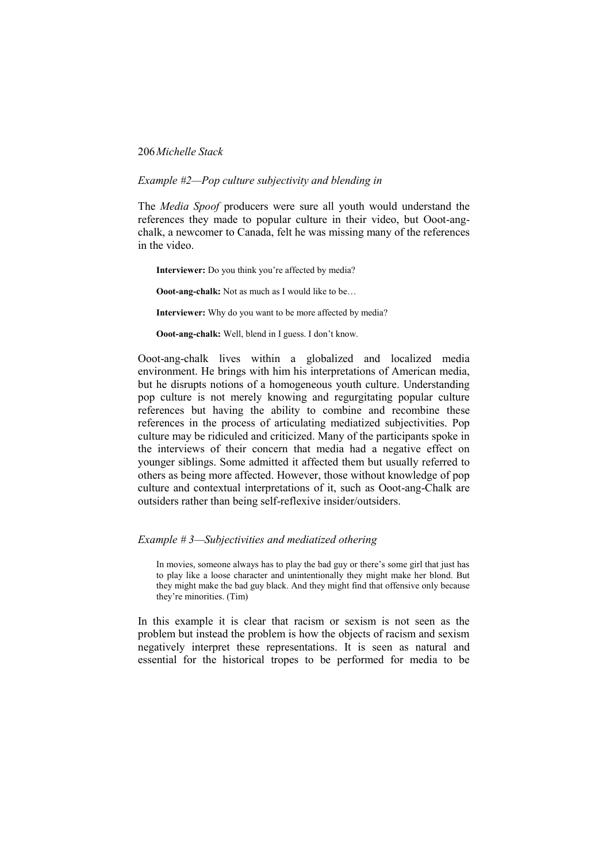#### *Example #2—Pop culture subjectivity and blending in*

The *Media Spoof* producers were sure all youth would understand the references they made to popular culture in their video, but Ooot-angchalk, a newcomer to Canada, felt he was missing many of the references in the video.

**Interviewer:** Do you think you're affected by media?

**Ooot-ang-chalk:** Not as much as I would like to be…

**Interviewer:** Why do you want to be more affected by media?

**Ooot-ang-chalk:** Well, blend in I guess. I don't know.

Ooot-ang-chalk lives within a globalized and localized media environment. He brings with him his interpretations of American media, but he disrupts notions of a homogeneous youth culture. Understanding pop culture is not merely knowing and regurgitating popular culture references but having the ability to combine and recombine these references in the process of articulating mediatized subjectivities. Pop culture may be ridiculed and criticized. Many of the participants spoke in the interviews of their concern that media had a negative effect on younger siblings. Some admitted it affected them but usually referred to others as being more affected. However, those without knowledge of pop culture and contextual interpretations of it, such as Ooot-ang-Chalk are outsiders rather than being self-reflexive insider/outsiders.

#### *Example # 3—Subjectivities and mediatized othering*

In movies, someone always has to play the bad guy or there"s some girl that just has to play like a loose character and unintentionally they might make her blond. But they might make the bad guy black. And they might find that offensive only because they"re minorities. (Tim)

In this example it is clear that racism or sexism is not seen as the problem but instead the problem is how the objects of racism and sexism negatively interpret these representations. It is seen as natural and essential for the historical tropes to be performed for media to be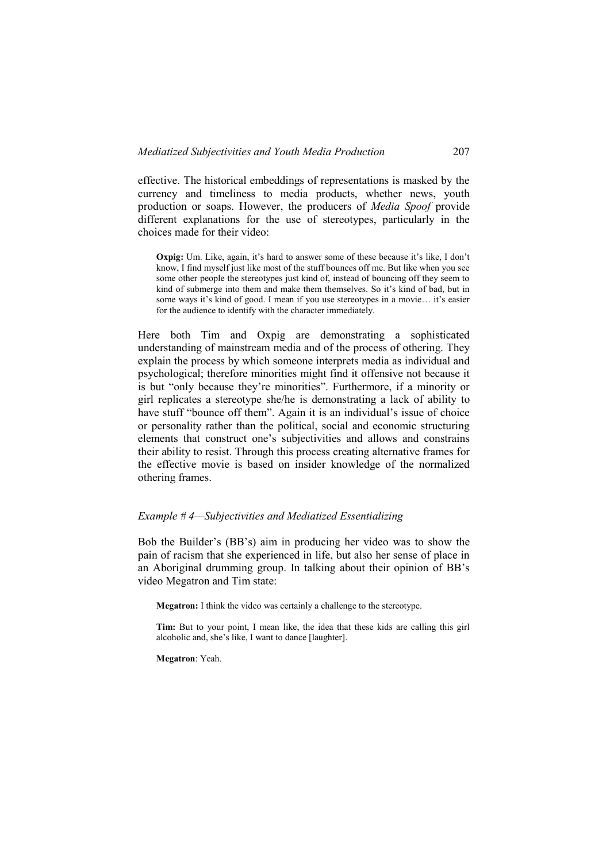effective. The historical embeddings of representations is masked by the currency and timeliness to media products, whether news, youth production or soaps. However, the producers of *Media Spoof* provide different explanations for the use of stereotypes, particularly in the choices made for their video:

**Oxpig:** Um. Like, again, it's hard to answer some of these because it's like, I don't know, I find myself just like most of the stuff bounces off me. But like when you see some other people the stereotypes just kind of, instead of bouncing off they seem to kind of submerge into them and make them themselves. So it's kind of bad, but in some ways it's kind of good. I mean if you use stereotypes in a movie... it's easier for the audience to identify with the character immediately.

Here both Tim and Oxpig are demonstrating a sophisticated understanding of mainstream media and of the process of othering. They explain the process by which someone interprets media as individual and psychological; therefore minorities might find it offensive not because it is but "only because they"re minorities". Furthermore, if a minority or girl replicates a stereotype she/he is demonstrating a lack of ability to have stuff "bounce off them". Again it is an individual's issue of choice or personality rather than the political, social and economic structuring elements that construct one"s subjectivities and allows and constrains their ability to resist. Through this process creating alternative frames for the effective movie is based on insider knowledge of the normalized othering frames.

## *Example # 4—Subjectivities and Mediatized Essentializing*

Bob the Builder"s (BB"s) aim in producing her video was to show the pain of racism that she experienced in life, but also her sense of place in an Aboriginal drumming group. In talking about their opinion of BB"s video Megatron and Tim state:

**Megatron:** I think the video was certainly a challenge to the stereotype.

**Tim:** But to your point, I mean like, the idea that these kids are calling this girl alcoholic and, she"s like, I want to dance [laughter].

**Megatron**: Yeah.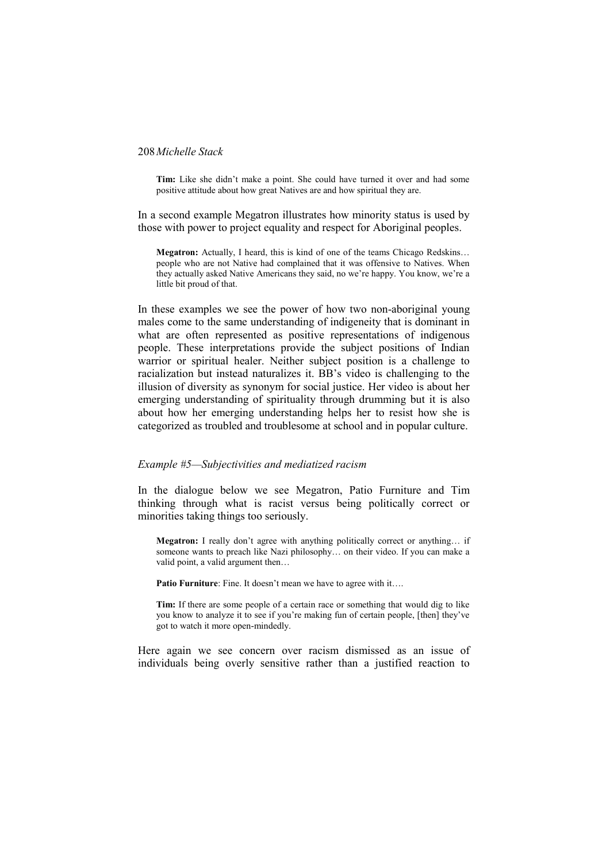Tim: Like she didn't make a point. She could have turned it over and had some positive attitude about how great Natives are and how spiritual they are.

In a second example Megatron illustrates how minority status is used by those with power to project equality and respect for Aboriginal peoples.

**Megatron:** Actually, I heard, this is kind of one of the teams Chicago Redskins… people who are not Native had complained that it was offensive to Natives. When they actually asked Native Americans they said, no we"re happy. You know, we"re a little bit proud of that.

In these examples we see the power of how two non-aboriginal young males come to the same understanding of indigeneity that is dominant in what are often represented as positive representations of indigenous people. These interpretations provide the subject positions of Indian warrior or spiritual healer. Neither subject position is a challenge to racialization but instead naturalizes it. BB"s video is challenging to the illusion of diversity as synonym for social justice. Her video is about her emerging understanding of spirituality through drumming but it is also about how her emerging understanding helps her to resist how she is categorized as troubled and troublesome at school and in popular culture.

## *Example #5—Subjectivities and mediatized racism*

In the dialogue below we see Megatron, Patio Furniture and Tim thinking through what is racist versus being politically correct or minorities taking things too seriously.

Megatron: I really don't agree with anything politically correct or anything... if someone wants to preach like Nazi philosophy... on their video. If you can make a valid point, a valid argument then…

**Patio Furniture**: Fine. It doesn't mean we have to agree with it….

**Tim:** If there are some people of a certain race or something that would dig to like you know to analyze it to see if you"re making fun of certain people, [then] they"ve got to watch it more open-mindedly.

Here again we see concern over racism dismissed as an issue of individuals being overly sensitive rather than a justified reaction to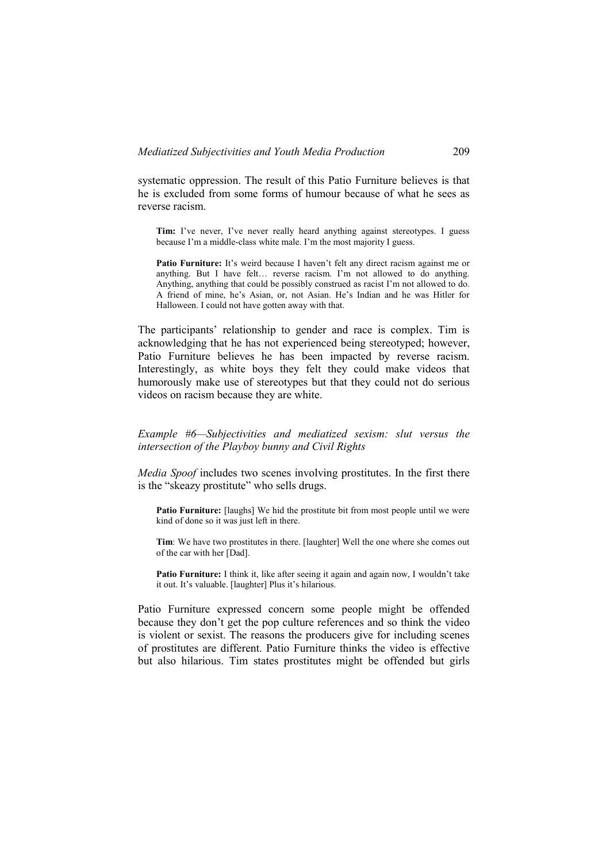systematic oppression. The result of this Patio Furniture believes is that he is excluded from some forms of humour because of what he sees as reverse racism.

**Tim:** I've never. I've never really heard anything against stereotypes. I guess because I'm a middle-class white male. I'm the most majority I guess.

Patio Furniture: It's weird because I haven't felt any direct racism against me or anything. But I have felt… reverse racism. I"m not allowed to do anything. Anything, anything that could be possibly construed as racist I"m not allowed to do. A friend of mine, he"s Asian, or, not Asian. He"s Indian and he was Hitler for Halloween. I could not have gotten away with that.

The participants' relationship to gender and race is complex. Tim is acknowledging that he has not experienced being stereotyped; however, Patio Furniture believes he has been impacted by reverse racism. Interestingly, as white boys they felt they could make videos that humorously make use of stereotypes but that they could not do serious videos on racism because they are white.

*Example #6—Subjectivities and mediatized sexism: slut versus the intersection of the Playboy bunny and Civil Rights* 

*Media Spoof* includes two scenes involving prostitutes. In the first there is the "skeazy prostitute" who sells drugs.

**Patio Furniture:** [laughs] We hid the prostitute bit from most people until we were kind of done so it was just left in there.

**Tim**: We have two prostitutes in there. [laughter] Well the one where she comes out of the car with her [Dad].

Patio Furniture: I think it, like after seeing it again and again now, I wouldn't take it out. It's valuable. [laughter] Plus it's hilarious.

Patio Furniture expressed concern some people might be offended because they don"t get the pop culture references and so think the video is violent or sexist. The reasons the producers give for including scenes of prostitutes are different. Patio Furniture thinks the video is effective but also hilarious. Tim states prostitutes might be offended but girls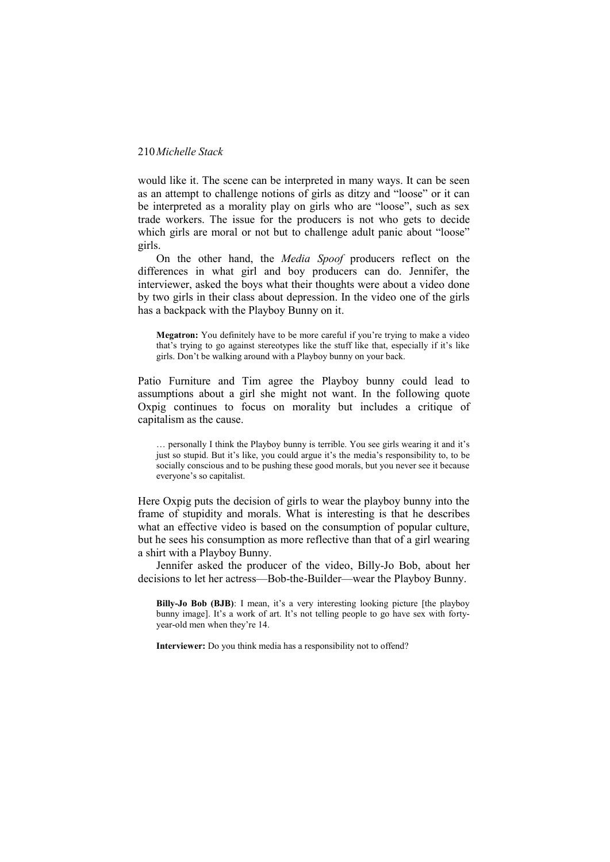would like it. The scene can be interpreted in many ways. It can be seen as an attempt to challenge notions of girls as ditzy and "loose" or it can be interpreted as a morality play on girls who are "loose", such as sex trade workers. The issue for the producers is not who gets to decide which girls are moral or not but to challenge adult panic about "loose" girls.

On the other hand, the *Media Spoof* producers reflect on the differences in what girl and boy producers can do. Jennifer, the interviewer, asked the boys what their thoughts were about a video done by two girls in their class about depression. In the video one of the girls has a backpack with the Playboy Bunny on it.

**Megatron:** You definitely have to be more careful if you're trying to make a video that's trying to go against stereotypes like the stuff like that, especially if it's like girls. Don"t be walking around with a Playboy bunny on your back.

Patio Furniture and Tim agree the Playboy bunny could lead to assumptions about a girl she might not want. In the following quote Oxpig continues to focus on morality but includes a critique of capitalism as the cause.

… personally I think the Playboy bunny is terrible. You see girls wearing it and it"s just so stupid. But it's like, you could argue it's the media's responsibility to, to be socially conscious and to be pushing these good morals, but you never see it because everyone's so capitalist.

Here Oxpig puts the decision of girls to wear the playboy bunny into the frame of stupidity and morals. What is interesting is that he describes what an effective video is based on the consumption of popular culture, but he sees his consumption as more reflective than that of a girl wearing a shirt with a Playboy Bunny.

Jennifer asked the producer of the video, Billy-Jo Bob, about her decisions to let her actress—Bob-the-Builder—wear the Playboy Bunny.

**Billy-Jo Bob (BJB)**: I mean, it's a very interesting looking picture [the playboy bunny image]. It's a work of art. It's not telling people to go have sex with fortyyear-old men when they"re 14.

**Interviewer:** Do you think media has a responsibility not to offend?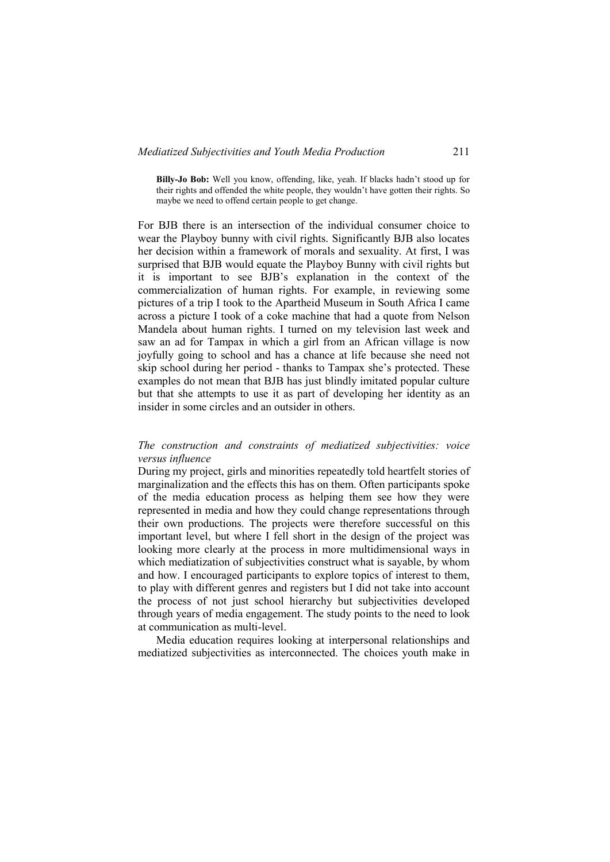**Billy-Jo Bob:** Well you know, offending, like, yeah. If blacks hadn"t stood up for their rights and offended the white people, they wouldn"t have gotten their rights. So maybe we need to offend certain people to get change.

For BJB there is an intersection of the individual consumer choice to wear the Playboy bunny with civil rights. Significantly BJB also locates her decision within a framework of morals and sexuality. At first, I was surprised that BJB would equate the Playboy Bunny with civil rights but it is important to see BJB"s explanation in the context of the commercialization of human rights. For example, in reviewing some pictures of a trip I took to the Apartheid Museum in South Africa I came across a picture I took of a coke machine that had a quote from Nelson Mandela about human rights. I turned on my television last week and saw an ad for Tampax in which a girl from an African village is now joyfully going to school and has a chance at life because she need not skip school during her period - thanks to Tampax she"s protected. These examples do not mean that BJB has just blindly imitated popular culture but that she attempts to use it as part of developing her identity as an insider in some circles and an outsider in others.

# *The construction and constraints of mediatized subjectivities: voice versus influence*

During my project, girls and minorities repeatedly told heartfelt stories of marginalization and the effects this has on them. Often participants spoke of the media education process as helping them see how they were represented in media and how they could change representations through their own productions. The projects were therefore successful on this important level, but where I fell short in the design of the project was looking more clearly at the process in more multidimensional ways in which mediatization of subjectivities construct what is sayable, by whom and how. I encouraged participants to explore topics of interest to them, to play with different genres and registers but I did not take into account the process of not just school hierarchy but subjectivities developed through years of media engagement. The study points to the need to look at communication as multi-level.

Media education requires looking at interpersonal relationships and mediatized subjectivities as interconnected. The choices youth make in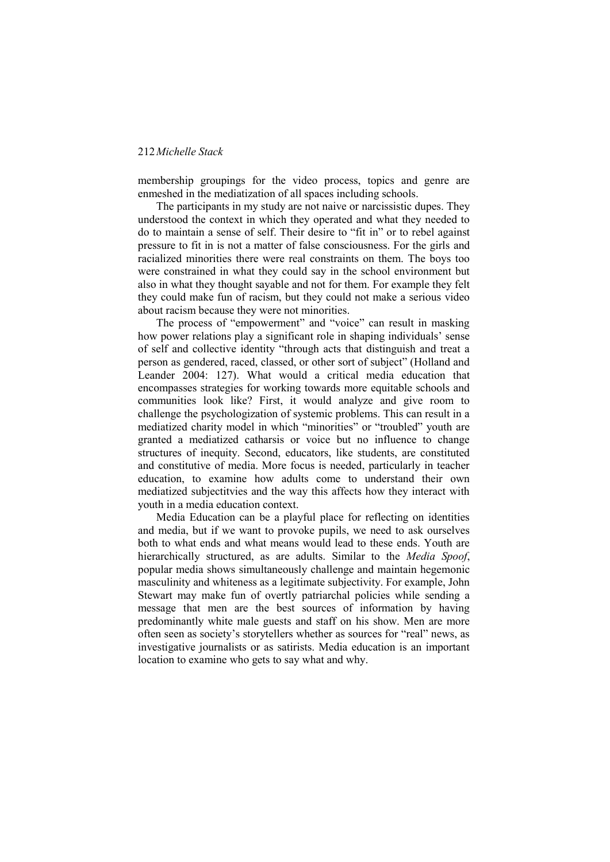membership groupings for the video process, topics and genre are enmeshed in the mediatization of all spaces including schools.

The participants in my study are not naive or narcissistic dupes. They understood the context in which they operated and what they needed to do to maintain a sense of self. Their desire to "fit in" or to rebel against pressure to fit in is not a matter of false consciousness. For the girls and racialized minorities there were real constraints on them. The boys too were constrained in what they could say in the school environment but also in what they thought sayable and not for them. For example they felt they could make fun of racism, but they could not make a serious video about racism because they were not minorities.

The process of "empowerment" and "voice" can result in masking how power relations play a significant role in shaping individuals" sense of self and collective identity "through acts that distinguish and treat a person as gendered, raced, classed, or other sort of subject" (Holland and Leander 2004: 127). What would a critical media education that encompasses strategies for working towards more equitable schools and communities look like? First, it would analyze and give room to challenge the psychologization of systemic problems. This can result in a mediatized charity model in which "minorities" or "troubled" youth are granted a mediatized catharsis or voice but no influence to change structures of inequity. Second, educators, like students, are constituted and constitutive of media. More focus is needed, particularly in teacher education, to examine how adults come to understand their own mediatized subjectitvies and the way this affects how they interact with youth in a media education context.

Media Education can be a playful place for reflecting on identities and media, but if we want to provoke pupils, we need to ask ourselves both to what ends and what means would lead to these ends. Youth are hierarchically structured, as are adults. Similar to the *Media Spoof*, popular media shows simultaneously challenge and maintain hegemonic masculinity and whiteness as a legitimate subjectivity. For example, John Stewart may make fun of overtly patriarchal policies while sending a message that men are the best sources of information by having predominantly white male guests and staff on his show. Men are more often seen as society"s storytellers whether as sources for "real" news, as investigative journalists or as satirists. Media education is an important location to examine who gets to say what and why.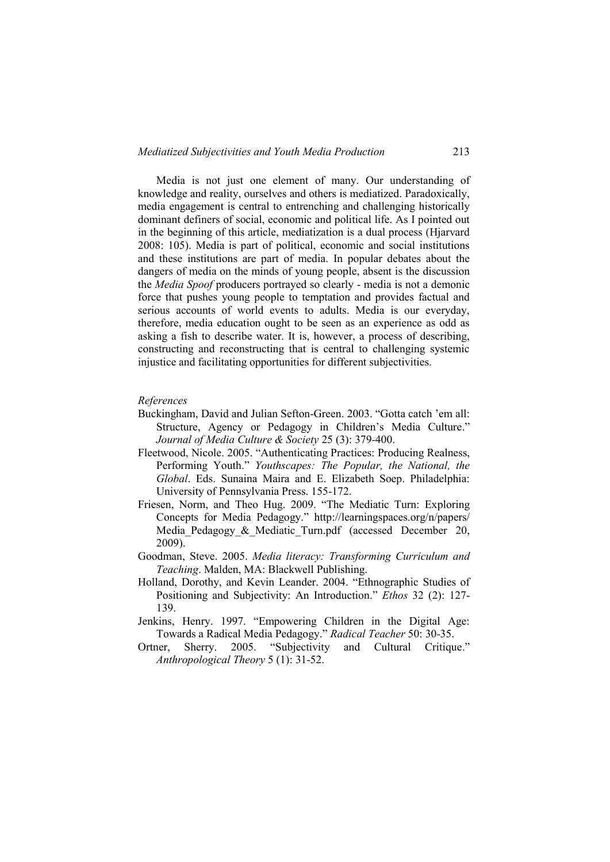Media is not just one element of many. Our understanding of knowledge and reality, ourselves and others is mediatized. Paradoxically, media engagement is central to entrenching and challenging historically dominant definers of social, economic and political life. As I pointed out in the beginning of this article, mediatization is a dual process (Hjarvard 2008: 105). Media is part of political, economic and social institutions and these institutions are part of media. In popular debates about the dangers of media on the minds of young people, absent is the discussion the *Media Spoof* producers portrayed so clearly - media is not a demonic force that pushes young people to temptation and provides factual and serious accounts of world events to adults. Media is our everyday, therefore, media education ought to be seen as an experience as odd as asking a fish to describe water. It is, however, a process of describing, constructing and reconstructing that is central to challenging systemic injustice and facilitating opportunities for different subjectivities.

#### *References*

- Buckingham, David and Julian Sefton-Green. 2003. "Gotta catch "em all: Structure, Agency or Pedagogy in Children"s Media Culture." *Journal of Media Culture & Society* 25 (3): 379-400.
- Fleetwood, Nicole. 2005. "Authenticating Practices: Producing Realness, Performing Youth." *Youthscapes: The Popular, the National, the Global*. Eds. Sunaina Maira and E. Elizabeth Soep. Philadelphia: University of Pennsylvania Press. 155-172.
- Friesen, Norm, and Theo Hug. 2009. "The Mediatic Turn: Exploring Concepts for Media Pedagogy." http://learningspaces.org/n/papers/ Media Pedagogy & Mediatic Turn.pdf (accessed December 20, 2009).
- Goodman, Steve. 2005. *Media literacy: Transforming Curriculum and Teaching*. Malden, MA: Blackwell Publishing.
- Holland, Dorothy, and Kevin Leander. 2004. "Ethnographic Studies of Positioning and Subjectivity: An Introduction." *Ethos* 32 (2): 127- 139.
- Jenkins, Henry. 1997. "Empowering Children in the Digital Age: Towards a Radical Media Pedagogy." *Radical Teacher* 50: 30-35.
- Ortner, Sherry. 2005. "Subjectivity and Cultural Critique." *Anthropological Theory* 5 (1): 31-52.